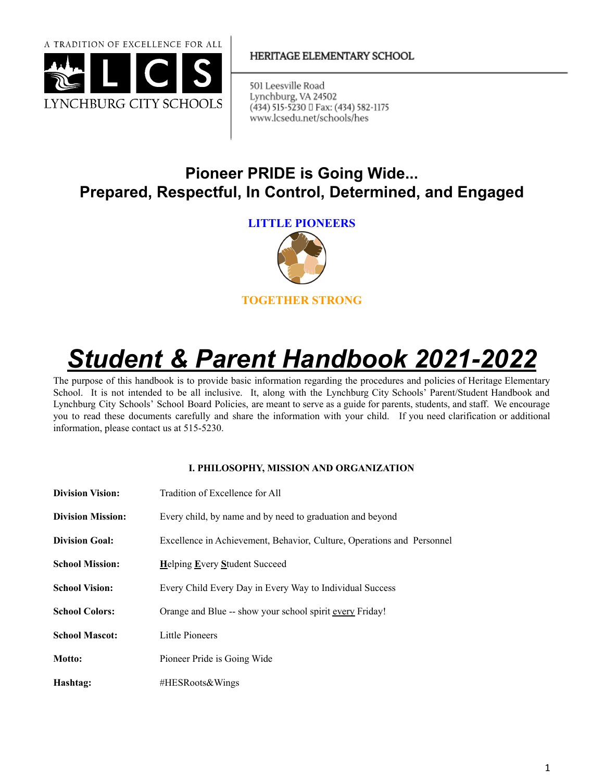

## HERITAGE ELEMENTARY SCHOOL

501 Leesville Road Lynchburg, VA 24502 (434) 515-5230 □ Fax: (434) 582-1175 www.lcsedu.net/schools/hes

## **Pioneer PRIDE is Going Wide... Prepared, Respectful, In Control, Determined, and Engaged**

**LITTLE PIONEERS**



# *Student & Parent Handbook 2021-2022*

The purpose of this handbook is to provide basic information regarding the procedures and policies of Heritage Elementary School. It is not intended to be all inclusive. It, along with the Lynchburg City Schools' Parent/Student Handbook and Lynchburg City Schools' School Board Policies, are meant to serve as a guide for parents, students, and staff. We encourage you to read these documents carefully and share the information with your child. If you need clarification or additional information, please contact us at 515-5230.

## **I. PHILOSOPHY, MISSION AND ORGANIZATION**

| <b>Division Vision:</b>  | Tradition of Excellence for All                                        |  |
|--------------------------|------------------------------------------------------------------------|--|
| <b>Division Mission:</b> | Every child, by name and by need to graduation and beyond              |  |
| <b>Division Goal:</b>    | Excellence in Achievement, Behavior, Culture, Operations and Personnel |  |
| <b>School Mission:</b>   | <b>Helping Every Student Succeed</b>                                   |  |
| <b>School Vision:</b>    | Every Child Every Day in Every Way to Individual Success               |  |
| <b>School Colors:</b>    | Orange and Blue -- show your school spirit every Friday!               |  |
| <b>School Mascot:</b>    | Little Pioneers                                                        |  |
| Motto:                   | Pioneer Pride is Going Wide                                            |  |
| Hashtag:                 | #HESRoots&Wings                                                        |  |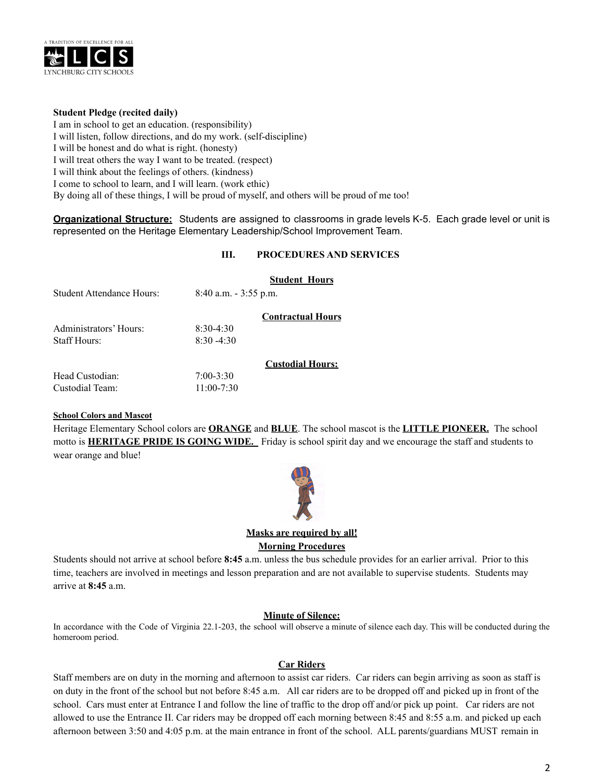

## **Student Pledge (recited daily)**

I am in school to get an education. (responsibility) I will listen, follow directions, and do my work. (self-discipline) I will be honest and do what is right. (honesty) I will treat others the way I want to be treated. (respect) I will think about the feelings of others. (kindness) I come to school to learn, and I will learn. (work ethic) By doing all of these things, I will be proud of myself, and others will be proud of me too!

**Organizational Structure:** Students are assigned to classrooms in grade levels K-5. Each grade level or unit is represented on the Heritage Elementary Leadership/School Improvement Team.

## **III. PROCEDURES AND SERVICES**

|                           |                          | <b>Student Hours</b>     |
|---------------------------|--------------------------|--------------------------|
| Student Attendance Hours: | $8:40$ a.m. $-3:55$ p.m. |                          |
|                           |                          | <b>Contractual Hours</b> |
| Administrators' Hours:    | $8.30 - 4.30$            |                          |
| Staff Hours:              | $8.30 - 4.30$            |                          |
|                           |                          | <b>Custodial Hours:</b>  |
| Head Custodian:           | $7:00 - 3:30$            |                          |
| Custodial Team:           | $11:00 - 7:30$           |                          |

## **School Colors and Mascot**

Heritage Elementary School colors are **ORANGE** and **BLUE**. The school mascot is the **LITTLE PIONEER.** The school motto is **HERITAGE PRIDE IS GOING WIDE.** Friday is school spirit day and we encourage the staff and students to wear orange and blue!



## **Masks are required by all! Morning Procedures**

Students should not arrive at school before **8:45** a.m. unless the bus schedule provides for an earlier arrival. Prior to this time, teachers are involved in meetings and lesson preparation and are not available to supervise students. Students may arrive at **8:45** a.m.

## **Minute of Silence:**

In accordance with the Code of Virginia 22.1-203, the school will observe a minute of silence each day. This will be conducted during the homeroom period.

## **Car Riders**

Staff members are on duty in the morning and afternoon to assist car riders. Car riders can begin arriving as soon as staff is on duty in the front of the school but not before 8:45 a.m. All car riders are to be dropped off and picked up in front of the school. Cars must enter at Entrance I and follow the line of traffic to the drop off and/or pick up point. Car riders are not allowed to use the Entrance II. Car riders may be dropped off each morning between 8:45 and 8:55 a.m. and picked up each afternoon between 3:50 and 4:05 p.m. at the main entrance in front of the school. ALL parents/guardians MUST remain in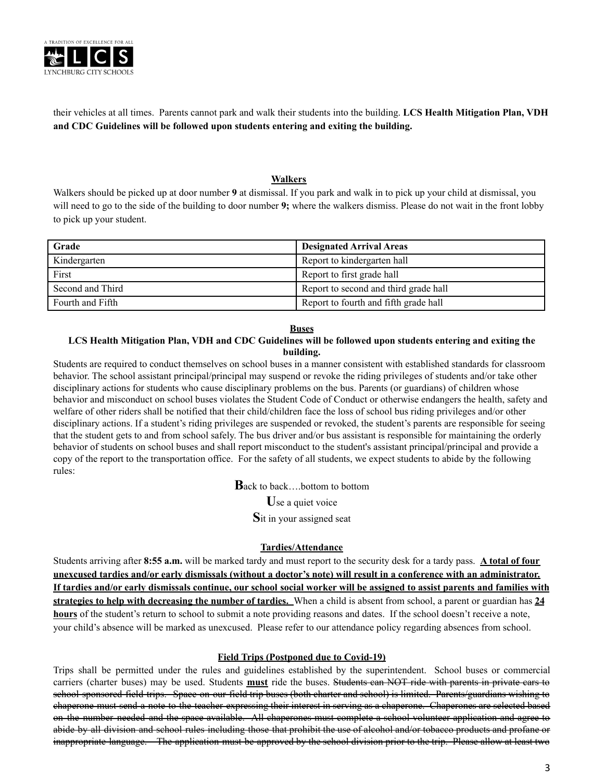

their vehicles at all times. Parents cannot park and walk their students into the building. **LCS Health Mitigation Plan, VDH and CDC Guidelines will be followed upon students entering and exiting the building.**

#### **Walkers**

Walkers should be picked up at door number **9** at dismissal. If you park and walk in to pick up your child at dismissal, you will need to go to the side of the building to door number **9;** where the walkers dismiss. Please do not wait in the front lobby to pick up your student.

| Grade            | <b>Designated Arrival Areas</b>       |
|------------------|---------------------------------------|
| Kindergarten     | Report to kindergarten hall           |
| First            | Report to first grade hall            |
| Second and Third | Report to second and third grade hall |
| Fourth and Fifth | Report to fourth and fifth grade hall |

#### **Buses**

#### LCS Health Mitigation Plan, VDH and CDC Guidelines will be followed upon students entering and exiting the **building.**

Students are required to conduct themselves on school buses in a manner consistent with established standards for classroom behavior. The school assistant principal/principal may suspend or revoke the riding privileges of students and/or take other disciplinary actions for students who cause disciplinary problems on the bus. Parents (or guardians) of children whose behavior and misconduct on school buses violates the Student Code of Conduct or otherwise endangers the health, safety and welfare of other riders shall be notified that their child/children face the loss of school bus riding privileges and/or other disciplinary actions. If a student's riding privileges are suspended or revoked, the student's parents are responsible for seeing that the student gets to and from school safely. The bus driver and/or bus assistant is responsible for maintaining the orderly behavior of students on school buses and shall report misconduct to the student's assistant principal/principal and provide a copy of the report to the transportation office. For the safety of all students, we expect students to abide by the following rules:

**B**ack to back….bottom to bottom

**U**se a quiet voice

**S**it in your assigned seat

## **Tardies/Attendance**

Students arriving after **8:55 a.m.** will be marked tardy and must report to the security desk for a tardy pass. **A total of four** unexcused tardies and/or early dismissals (without a doctor's note) will result in a conference with an administrator. If tardies and/or early dismissals continue, our school social worker will be assigned to assist parents and families with **strategies to help with decreasing the number of tardies.** When a child is absent from school, a parent or guardian has **24 hours** of the student's return to school to submit a note providing reasons and dates. If the school doesn't receive a note, your child's absence will be marked as unexcused. Please refer to our attendance policy regarding absences from school.

#### **Field Trips (Postponed due to Covid-19)**

Trips shall be permitted under the rules and guidelines established by the superintendent. School buses or commercial carriers (charter buses) may be used. Students **must** ride the buses. Students can NOT ride with parents in private cars to school sponsored field trips. Space on our field trip buses (both charter and school) is limited. Parents/guardians wishing to chaperone must send a note to the teacher expressing their interest in serving as a chaperone. Chaperones are selected based on the number needed and the space available. All chaperones must complete a school volunteer application and agree to abide by all division and school rules including those that prohibit the use of alcohol and/or tobacco products and profane or inappropriate language. The application must be approved by the school division prior to the trip. Please allow at least two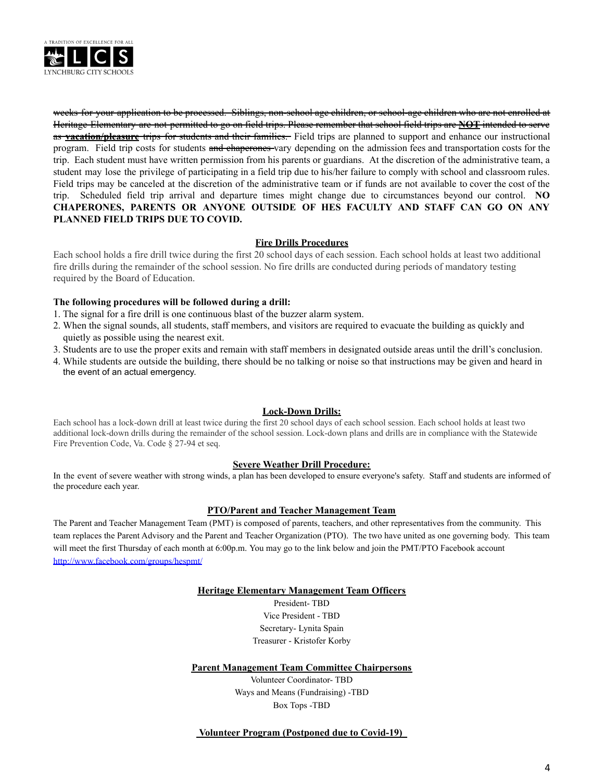

weeks for your application to be processed. Siblings, non-school age children, or school-age children who are not enrolled at Heritage Elementary are not permitted to go on field trips. Please remember that school field trips are **NOT** intended to serve as **vacation/pleasure** trips for students and their families. Field trips are planned to support and enhance our instructional program. Field trip costs for students and chaperones vary depending on the admission fees and transportation costs for the trip. Each student must have written permission from his parents or guardians. At the discretion of the administrative team, a student may lose the privilege of participating in a field trip due to his/her failure to comply with school and classroom rules. Field trips may be canceled at the discretion of the administrative team or if funds are not available to cover the cost of the trip. Scheduled field trip arrival and departure times might change due to circumstances beyond our control. **NO CHAPERONES, PARENTS OR ANYONE OUTSIDE OF HES FACULTY AND STAFF CAN GO ON ANY PLANNED FIELD TRIPS DUE TO COVID.**

## **Fire Drills Procedures**

Each school holds a fire drill twice during the first 20 school days of each session. Each school holds at least two additional fire drills during the remainder of the school session. No fire drills are conducted during periods of mandatory testing required by the Board of Education.

#### **The following procedures will be followed during a drill:**

- 1. The signal for a fire drill is one continuous blast of the buzzer alarm system.
- 2. When the signal sounds, all students, staff members, and visitors are required to evacuate the building as quickly and quietly as possible using the nearest exit.
- 3. Students are to use the proper exits and remain with staff members in designated outside areas until the drill's conclusion.
- 4. While students are outside the building, there should be no talking or noise so that instructions may be given and heard in the event of an actual emergency.

#### **Lock-Down Drills:**

Each school has a lock-down drill at least twice during the first 20 school days of each school session. Each school holds at least two additional lock-down drills during the remainder of the school session. Lock-down plans and drills are in compliance with the Statewide Fire Prevention Code, Va. Code § 27-94 et seq.

#### **Severe Weather Drill Procedure:**

In the event of severe weather with strong winds, a plan has been developed to ensure everyone's safety. Staff and students are informed of the procedure each year.

## **PTO/Parent and Teacher Management Team**

The Parent and Teacher Management Team (PMT) is composed of parents, teachers, and other representatives from the community. This team replaces the Parent Advisory and the Parent and Teacher Organization (PTO). The two have united as one governing body. This team will meet the first Thursday of each month at 6:00p.m. You may go to the link below and join the PMT/PTO Facebook account <http://www.facebook.com/groups/hespmt/>

#### **Heritage Elementary Management Team Officers**

President- TBD Vice President - TBD Secretary- Lynita Spain Treasurer - Kristofer Korby

#### **Parent Management Team Committee Chairpersons**

Volunteer Coordinator- TBD Ways and Means (Fundraising) -TBD Box Tops -TBD

## **Volunteer Program (Postponed due to Covid-19)\_**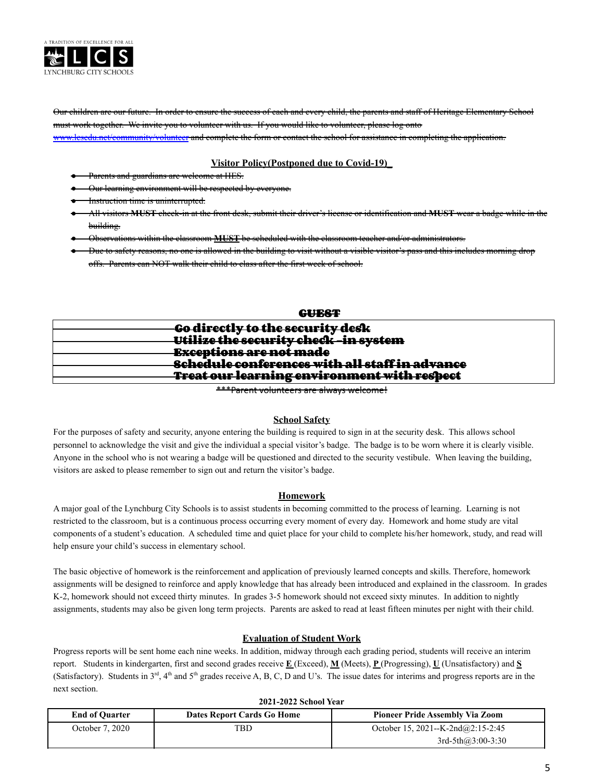

Our children are our future. In order to ensure the success of each and every child, the parents and staff of Heritage Elementary School must work together. We invite you to volunteer with us. If you would like to volunteer, please log onto [www.lcsedu.net/community/volunteer](http://www.lcsedu.net/volunteer) and complete the form or contact the school for assistance in completing the application.

## **Visitor Policy(Postponed due to Covid-19)\_**

- Parents and guardians are welcome at HES.
- **Our learning environment will be respected by everyone.**
- Instruction time is uninterrupted.
- All visitors **MUST** check-in at the front desk, submit their driver's license or identification and **MUST** wear a badge while in the building.
- Observations within the classroom **MUST** be scheduled with the classroom teacher and/or administrators.
- Due to safety reasons, no one is allowed in the building to visit without a visible visitor's pass and this includes morning drop offs. Parents can NOT walk their child to class after the first week of school.

| GUEST                                                 |  |
|-------------------------------------------------------|--|
| Go directly to the security desk                      |  |
| Utilize the security check-in system                  |  |
|                                                       |  |
| <del>Exceptions are not made</del>                    |  |
| <b>Schedule conferences with all staff in advance</b> |  |
| Treat our learning environment with respect           |  |
|                                                       |  |

\*\*\*Parent volunteers are always welcome!

#### **School Safety**

For the purposes of safety and security, anyone entering the building is required to sign in at the security desk. This allows school personnel to acknowledge the visit and give the individual a special visitor's badge. The badge is to be worn where it is clearly visible. Anyone in the school who is not wearing a badge will be questioned and directed to the security vestibule. When leaving the building, visitors are asked to please remember to sign out and return the visitor's badge.

## **Homework**

A major goal of the Lynchburg City Schools is to assist students in becoming committed to the process of learning. Learning is not restricted to the classroom, but is a continuous process occurring every moment of every day. Homework and home study are vital components of a student's education. A scheduled time and quiet place for your child to complete his/her homework, study, and read will help ensure your child's success in elementary school.

The basic objective of homework is the reinforcement and application of previously learned concepts and skills. Therefore, homework assignments will be designed to reinforce and apply knowledge that has already been introduced and explained in the classroom. In grades K-2, homework should not exceed thirty minutes. In grades 3-5 homework should not exceed sixty minutes. In addition to nightly assignments, students may also be given long term projects. Parents are asked to read at least fifteen minutes per night with their child.

#### **Evaluation of Student Work**

Progress reports will be sent home each nine weeks. In addition, midway through each grading period, students will receive an interim report. Students in kindergarten, first and second grades receive **E** (Exceed), **M** (Meets), **P** (Progressing), **U** (Unsatisfactory) and **S** (Satisfactory). Students in  $3<sup>rd</sup>$ ,  $4<sup>th</sup>$  and  $5<sup>th</sup>$  grades receive A, B, C, D and U's. The issue dates for interims and progress reports are in the next section.

| <b>End of Quarter</b> | Dates Report Cards Go Home | <b>Pioneer Pride Assembly Via Zoom</b> |
|-----------------------|----------------------------|----------------------------------------|
| October 7, 2020       | TBD                        | October 15, 2021--K-2nd@2:15-2:45      |
|                       |                            | $3rd-5th(a)3:00-3:30$                  |

**2021-2022 School Year**

#### 5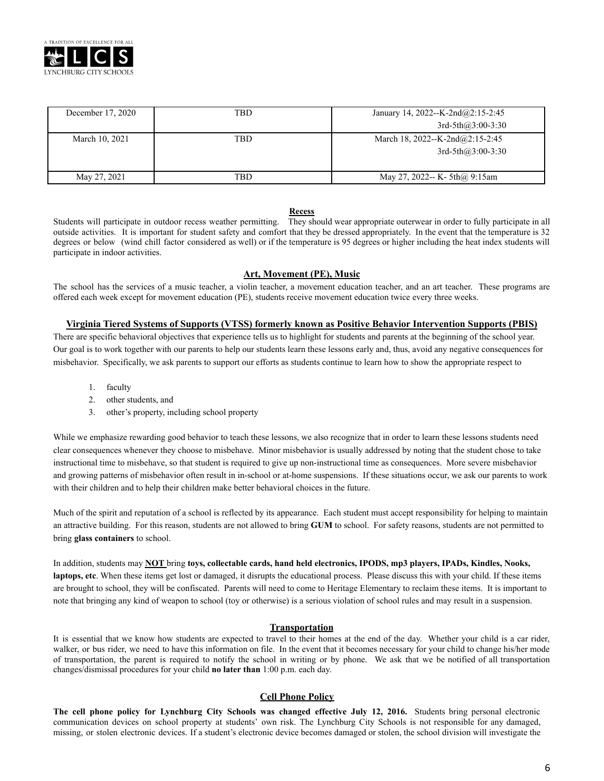

| December 17, 2020 | TBD | January 14, 2022--K-2nd $@2:15-2:45$  |
|-------------------|-----|---------------------------------------|
|                   |     | $3rd-5th(a)3:00-3:30$                 |
| March 10, 2021    | TBD | March 18, 2022--K-2nd $(a)$ 2:15-2:45 |
|                   |     | $3rd-5th(23:00-3:30)$                 |
|                   |     |                                       |
| May 27, 2021      | TBD | May 27, 2022-- K- 5th $\omega$ 9:15am |

#### **Recess**

Students will participate in outdoor recess weather permitting. They should wear appropriate outerwear in order to fully participate in all outside activities. It is important for student safety and comfort that they be dressed appropriately. In the event that the temperature is 32 degrees or below (wind chill factor considered as well) or if the temperature is 95 degrees or higher including the heat index students will participate in indoor activities.

#### **Art, Movement (PE), Music**

The school has the services of a music teacher, a violin teacher, a movement education teacher, and an art teacher. These programs are offered each week except for movement education (PE), students receive movement education twice every three weeks.

#### **Virginia Tiered Systems of Supports (VTSS) formerly known as Positive Behavior Intervention Supports (PBIS)**

There are specific behavioral objectives that experience tells us to highlight for students and parents at the beginning of the school year. Our goal is to work together with our parents to help our students learn these lessons early and, thus, avoid any negative consequences for misbehavior. Specifically, we ask parents to support our efforts as students continue to learn how to show the appropriate respect to

- 1. faculty
- 2. other students, and
- 3. other's property, including school property

While we emphasize rewarding good behavior to teach these lessons, we also recognize that in order to learn these lessons students need clear consequences whenever they choose to misbehave. Minor misbehavior is usually addressed by noting that the student chose to take instructional time to misbehave, so that student is required to give up non-instructional time as consequences. More severe misbehavior and growing patterns of misbehavior often result in in-school or at-home suspensions. If these situations occur, we ask our parents to work with their children and to help their children make better behavioral choices in the future.

Much of the spirit and reputation of a school is reflected by its appearance. Each student must accept responsibility for helping to maintain an attractive building. For this reason, students are not allowed to bring **GUM** to school. For safety reasons, students are not permitted to bring **glass containers** to school.

In addition, students may **NOT** bring **toys, collectable cards, hand held electronics, IPODS, mp3 players, IPADs, Kindles, Nooks, laptops, etc**. When these items get lost or damaged, it disrupts the educational process. Please discuss this with your child. If these items are brought to school, they will be confiscated. Parents will need to come to Heritage Elementary to reclaim these items. It is important to note that bringing any kind of weapon to school (toy or otherwise) is a serious violation of school rules and may result in a suspension.

#### **Transportation**

It is essential that we know how students are expected to travel to their homes at the end of the day. Whether your child is a car rider, walker, or bus rider, we need to have this information on file. In the event that it becomes necessary for your child to change his/her mode of transportation, the parent is required to notify the school in writing or by phone. We ask that we be notified of all transportation changes/dismissal procedures for your child **no later than** 1:00 p.m. each day.

## **Cell Phone Policy**

**The cell phone policy for Lynchburg City Schools was changed effective July 12, 2016.** Students bring personal electronic communication devices on school property at students' own risk. The Lynchburg City Schools is not responsible for any damaged, missing, or stolen electronic devices. If a student's electronic device becomes damaged or stolen, the school division will investigate the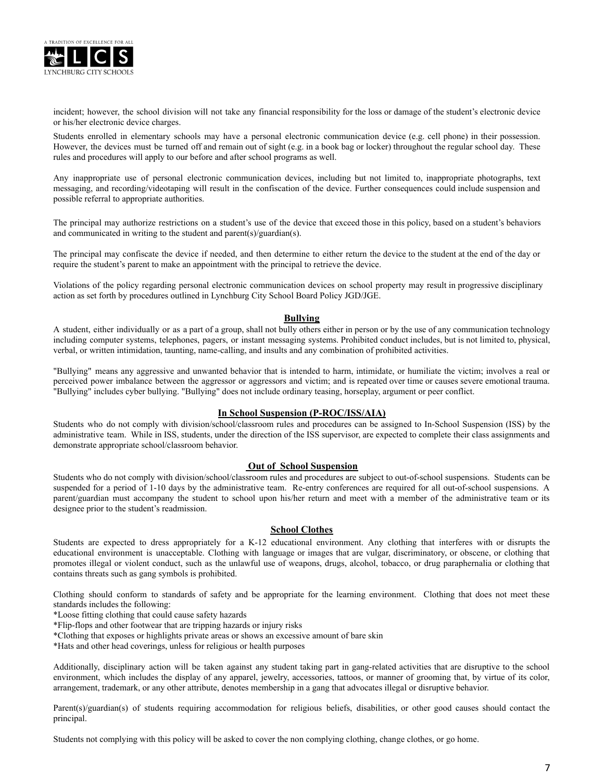

incident; however, the school division will not take any financial responsibility for the loss or damage of the student's electronic device or his/her electronic device charges.

Students enrolled in elementary schools may have a personal electronic communication device (e.g. cell phone) in their possession. However, the devices must be turned off and remain out of sight (e.g. in a book bag or locker) throughout the regular school day. These rules and procedures will apply to our before and after school programs as well.

Any inappropriate use of personal electronic communication devices, including but not limited to, inappropriate photographs, text messaging, and recording/videotaping will result in the confiscation of the device. Further consequences could include suspension and possible referral to appropriate authorities.

The principal may authorize restrictions on a student's use of the device that exceed those in this policy, based on a student's behaviors and communicated in writing to the student and parent(s)/guardian(s).

The principal may confiscate the device if needed, and then determine to either return the device to the student at the end of the day or require the student's parent to make an appointment with the principal to retrieve the device.

Violations of the policy regarding personal electronic communication devices on school property may result in progressive disciplinary action as set forth by procedures outlined in Lynchburg City School Board Policy JGD/JGE.

#### **Bullying**

A student, either individually or as a part of a group, shall not bully others either in person or by the use of any communication technology including computer systems, telephones, pagers, or instant messaging systems. Prohibited conduct includes, but is not limited to, physical, verbal, or written intimidation, taunting, name-calling, and insults and any combination of prohibited activities.

"Bullying" means any aggressive and unwanted behavior that is intended to harm, intimidate, or humiliate the victim; involves a real or perceived power imbalance between the aggressor or aggressors and victim; and is repeated over time or causes severe emotional trauma. "Bullying" includes cyber bullying. "Bullying" does not include ordinary teasing, horseplay, argument or peer conflict.

#### **In School Suspension (P-ROC/ISS/AIA)**

Students who do not comply with division/school/classroom rules and procedures can be assigned to In-School Suspension (ISS) by the administrative team. While in ISS, students, under the direction of the ISS supervisor, are expected to complete their class assignments and demonstrate appropriate school/classroom behavior.

#### **Out of School Suspension**

Students who do not comply with division/school/classroom rules and procedures are subject to out-of-school suspensions. Students can be suspended for a period of 1-10 days by the administrative team. Re-entry conferences are required for all out-of-school suspensions. A parent/guardian must accompany the student to school upon his/her return and meet with a member of the administrative team or its designee prior to the student's readmission.

#### **School Clothes**

Students are expected to dress appropriately for a K-12 educational environment. Any clothing that interferes with or disrupts the educational environment is unacceptable. Clothing with language or images that are vulgar, discriminatory, or obscene, or clothing that promotes illegal or violent conduct, such as the unlawful use of weapons, drugs, alcohol, tobacco, or drug paraphernalia or clothing that contains threats such as gang symbols is prohibited.

Clothing should conform to standards of safety and be appropriate for the learning environment. Clothing that does not meet these standards includes the following:

\*Loose fitting clothing that could cause safety hazards

\*Flip-flops and other footwear that are tripping hazards or injury risks

\*Clothing that exposes or highlights private areas or shows an excessive amount of bare skin

\*Hats and other head coverings, unless for religious or health purposes

Additionally, disciplinary action will be taken against any student taking part in gang-related activities that are disruptive to the school environment, which includes the display of any apparel, jewelry, accessories, tattoos, or manner of grooming that, by virtue of its color, arrangement, trademark, or any other attribute, denotes membership in a gang that advocates illegal or disruptive behavior.

Parent(s)/guardian(s) of students requiring accommodation for religious beliefs, disabilities, or other good causes should contact the principal.

Students not complying with this policy will be asked to cover the non complying clothing, change clothes, or go home.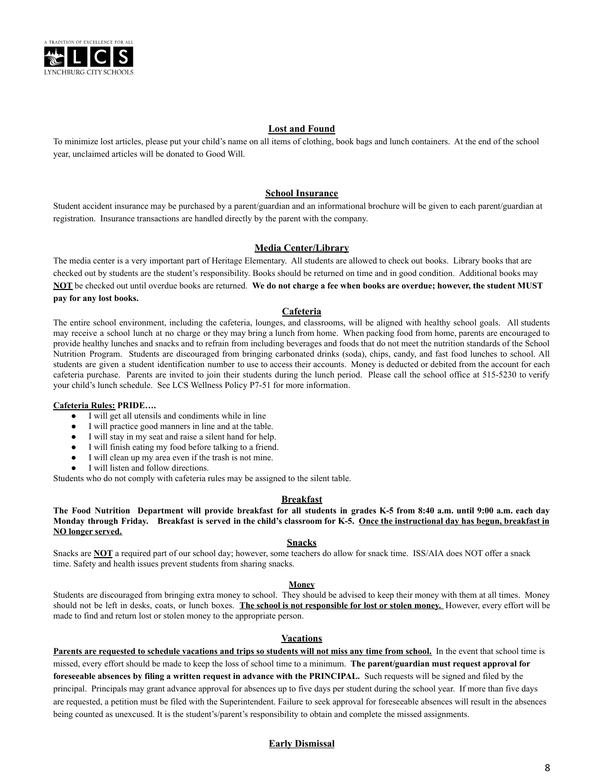

#### **Lost and Found**

To minimize lost articles, please put your child's name on all items of clothing, book bags and lunch containers. At the end of the school year, unclaimed articles will be donated to Good Will.

#### **School Insurance**

Student accident insurance may be purchased by a parent/guardian and an informational brochure will be given to each parent/guardian at registration. Insurance transactions are handled directly by the parent with the company.

#### **Media Center/Library**

The media center is a very important part of Heritage Elementary. All students are allowed to check out books. Library books that are checked out by students are the student's responsibility. Books should be returned on time and in good condition. Additional books may **NOT** be checked out until overdue books are returned. **We do not charge a fee when books are overdue; however, the student MUST pay for any lost books.**

#### **Cafeteria**

The entire school environment, including the cafeteria, lounges, and classrooms, will be aligned with healthy school goals. All students may receive a school lunch at no charge or they may bring a lunch from home. When packing food from home, parents are encouraged to provide healthy lunches and snacks and to refrain from including beverages and foods that do not meet the nutrition standards of the School Nutrition Program. Students are discouraged from bringing carbonated drinks (soda), chips, candy, and fast food lunches to school. All students are given a student identification number to use to access their accounts. Money is deducted or debited from the account for each cafeteria purchase. Parents are invited to join their students during the lunch period. Please call the school office at 515-5230 to verify your child's lunch schedule. See LCS Wellness Policy P7-51 for more information.

#### **Cafeteria Rules: PRIDE….**

- I will get all utensils and condiments while in line
- I will practice good manners in line and at the table.
- I will stay in my seat and raise a silent hand for help.
- I will finish eating my food before talking to a friend.
- I will clean up my area even if the trash is not mine.
- I will listen and follow directions.

Students who do not comply with cafeteria rules may be assigned to the silent table.

#### **Breakfast**

The Food Nutrition Department will provide breakfast for all students in grades K-5 from 8:40 a.m. until 9:00 a.m. each day Monday through Friday. Breakfast is served in the child's classroom for K-5. Once the instructional day has begun, breakfast in **NO longer served.**

#### **Snacks**

Snacks are **NOT** a required part of our school day; however, some teachers do allow for snack time. ISS/AIA does NOT offer a snack time. Safety and health issues prevent students from sharing snacks.

#### **Money**

Students are discouraged from bringing extra money to school. They should be advised to keep their money with them at all times. Money should not be left in desks, coats, or lunch boxes. **The school is not responsible for lost or stolen money.** However, every effort will be made to find and return lost or stolen money to the appropriate person.

#### **Vacations**

**Parents are requested to schedule vacations and trips so students will not miss any time from school.** In the event that school time is missed, every effort should be made to keep the loss of school time to a minimum. **The parent/guardian must request approval for foreseeable absences by filing a written request in advance with the PRINCIPAL.** Such requests will be signed and filed by the principal. Principals may grant advance approval for absences up to five days per student during the school year. If more than five days are requested, a petition must be filed with the Superintendent. Failure to seek approval for foreseeable absences will result in the absences being counted as unexcused. It is the student's/parent's responsibility to obtain and complete the missed assignments.

## **Early Dismissal**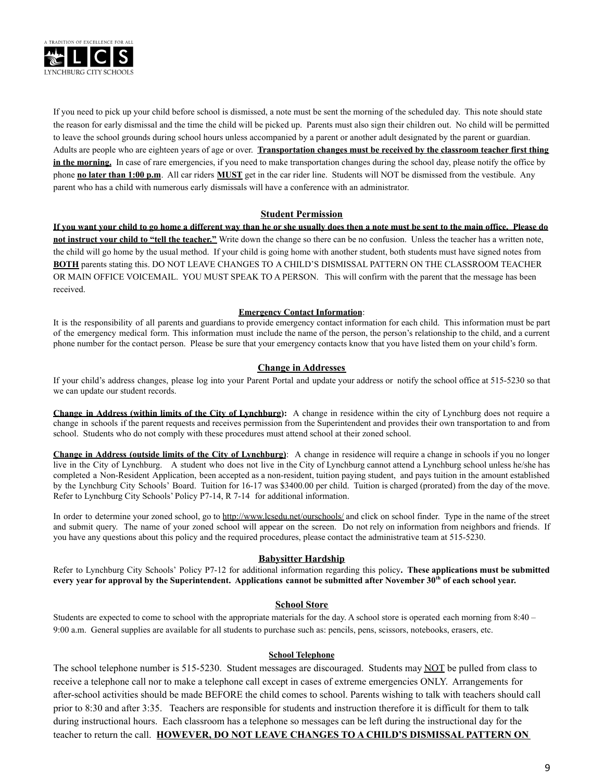

If you need to pick up your child before school is dismissed, a note must be sent the morning of the scheduled day. This note should state the reason for early dismissal and the time the child will be picked up. Parents must also sign their children out. No child will be permitted to leave the school grounds during school hours unless accompanied by a parent or another adult designated by the parent or guardian. Adults are people who are eighteen years of age or over. **Transportation changes must be received by the classroom teacher first thing in the morning.** In case of rare emergencies, if you need to make transportation changes during the school day, please notify the office by phone **no later than 1:00 p.m**. All car riders **MUST** get in the car rider line. Students will NOT be dismissed from the vestibule. Any parent who has a child with numerous early dismissals will have a conference with an administrator.

#### **Student Permission**

**If you want your child to go home a different way than he or she usually does then a note must be sent to the main office. Please do not instruct your child to "tell the teacher."** Write down the change so there can be no confusion. Unless the teacher has a written note, the child will go home by the usual method. If your child is going home with another student, both students must have signed notes from **BOTH** parents stating this. DO NOT LEAVE CHANGES TO A CHILD'S DISMISSAL PATTERN ON THE CLASSROOM TEACHER OR MAIN OFFICE VOICEMAIL. YOU MUST SPEAK TO A PERSON. This will confirm with the parent that the message has been received.

#### **Emergency Contact Information**:

It is the responsibility of all parents and guardians to provide emergency contact information for each child. This information must be part of the emergency medical form. This information must include the name of the person, the person's relationship to the child, and a current phone number for the contact person. Please be sure that your emergency contacts know that you have listed them on your child's form.

#### **Change in Addresses**

If your child's address changes, please log into your Parent Portal and update your address or notify the school office at 515-5230 so that we can update our student records.

**Change in Address (within limits of the City of Lynchburg):** A change in residence within the city of Lynchburg does not require a change in schools if the parent requests and receives permission from the Superintendent and provides their own transportation to and from school. Students who do not comply with these procedures must attend school at their zoned school.

**Change in Address (outside limits of the City of Lynchburg)**: A change in residence will require a change in schools if you no longer live in the City of Lynchburg. A student who does not live in the City of Lynchburg cannot attend a Lynchburg school unless he/she has completed a Non-Resident Application, been accepted as a non-resident, tuition paying student, and pays tuition in the amount established by the Lynchburg City Schools' Board. Tuition for 16-17 was \$3400.00 per child. Tuition is charged (prorated) from the day of the move. Refer to Lynchburg City Schools' Policy P7-14, R 7-14 for additional information.

In order to determine your zoned school, go to <http://www.lcsedu.net/ourschools/> and click on school finder. Type in the name of the street and submit query. The name of your zoned school will appear on the screen. Do not rely on information from neighbors and friends. If you have any questions about this policy and the required procedures, please contact the administrative team at 515-5230.

## **Babysitter Hardship**

Refer to Lynchburg City Schools' Policy P7-12 for additional information regarding this policy**. These applications must be submitted every year for approval by the Superintendent. Applications cannot be submitted after November 30th of each school year.**

#### **School Store**

Students are expected to come to school with the appropriate materials for the day. A school store is operated each morning from 8:40 – 9:00 a.m. General supplies are available for all students to purchase such as: pencils, pens, scissors, notebooks, erasers, etc.

#### **School Telephone**

The school telephone number is 515-5230. Student messages are discouraged. Students may NOT be pulled from class to receive a telephone call nor to make a telephone call except in cases of extreme emergencies ONLY. Arrangements for after-school activities should be made BEFORE the child comes to school. Parents wishing to talk with teachers should call prior to 8:30 and after 3:35. Teachers are responsible for students and instruction therefore it is difficult for them to talk during instructional hours. Each classroom has a telephone so messages can be left during the instructional day for the teacher to return the call. **HOWEVER, DO NOT LEAVE CHANGES TO A CHILD'S DISMISSAL PATTERN ON**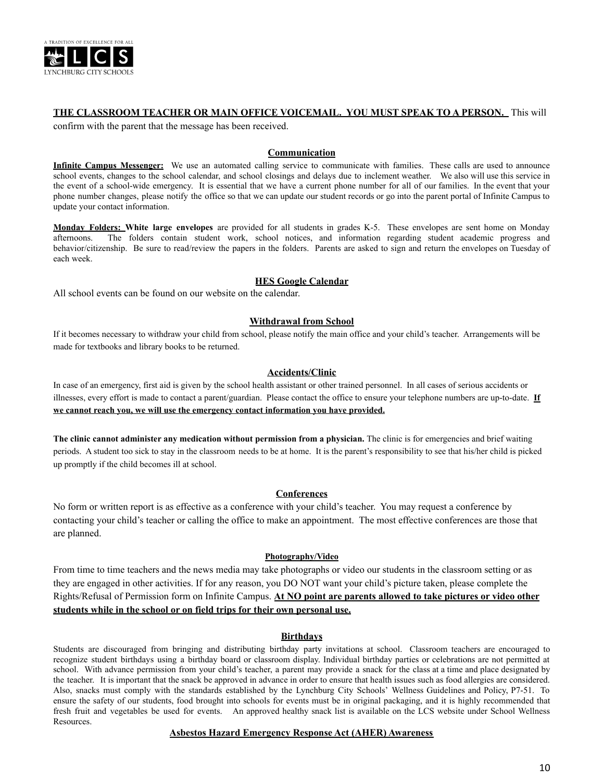

## **THE CLASSROOM TEACHER OR MAIN OFFICE VOICEMAIL. YOU MUST SPEAK TO A PERSON.** This will

confirm with the parent that the message has been received.

#### **Communication**

**Infinite Campus Messenger:** We use an automated calling service to communicate with families. These calls are used to announce school events, changes to the school calendar, and school closings and delays due to inclement weather. We also will use this service in the event of a school-wide emergency. It is essential that we have a current phone number for all of our families. In the event that your phone number changes, please notify the office so that we can update our student records or go into the parent portal of Infinite Campus to update your contact information.

**Monday Folders: White large envelopes** are provided for all students in grades K-5. These envelopes are sent home on Monday afternoons. The folders contain student work, school notices, and information regarding student academic progress and behavior/citizenship. Be sure to read/review the papers in the folders. Parents are asked to sign and return the envelopes on Tuesday of each week.

#### **HES Google Calendar**

All school events can be found on our website on the calendar.

#### **Withdrawal from School**

If it becomes necessary to withdraw your child from school, please notify the main office and your child's teacher. Arrangements will be made for textbooks and library books to be returned.

#### **Accidents/Clinic**

In case of an emergency, first aid is given by the school health assistant or other trained personnel. In all cases of serious accidents or illnesses, every effort is made to contact a parent/guardian. Please contact the office to ensure your telephone numbers are up-to-date. **If we cannot reach you, we will use the emergency contact information you have provided.**

**The clinic cannot administer any medication without permission from a physician.** The clinic is for emergencies and brief waiting periods. A student too sick to stay in the classroom needs to be at home. It is the parent's responsibility to see that his/her child is picked up promptly if the child becomes ill at school.

#### **Conferences**

No form or written report is as effective as a conference with your child's teacher. You may request a conference by contacting your child's teacher or calling the office to make an appointment. The most effective conferences are those that are planned.

#### **Photography/Video**

From time to time teachers and the news media may take photographs or video our students in the classroom setting or as they are engaged in other activities. If for any reason, you DO NOT want your child's picture taken, please complete the Rights/Refusal of Permission form on Infinite Campus. **At NO point are parents allowed to take pictures or video other students while in the school or on field trips for their own personal use.**

#### **Birthdays**

Students are discouraged from bringing and distributing birthday party invitations at school. Classroom teachers are encouraged to recognize student birthdays using a birthday board or classroom display. Individual birthday parties or celebrations are not permitted at school. With advance permission from your child's teacher, a parent may provide a snack for the class at a time and place designated by the teacher. It is important that the snack be approved in advance in order to ensure that health issues such as food allergies are considered. Also, snacks must comply with the standards established by the Lynchburg City Schools' Wellness Guidelines and Policy, P7-51. To ensure the safety of our students, food brought into schools for events must be in original packaging, and it is highly recommended that fresh fruit and vegetables be used for events. An approved healthy snack list is available on the LCS website under School Wellness Resources.

### **Asbestos Hazard Emergency Response Act (AHER) Awareness**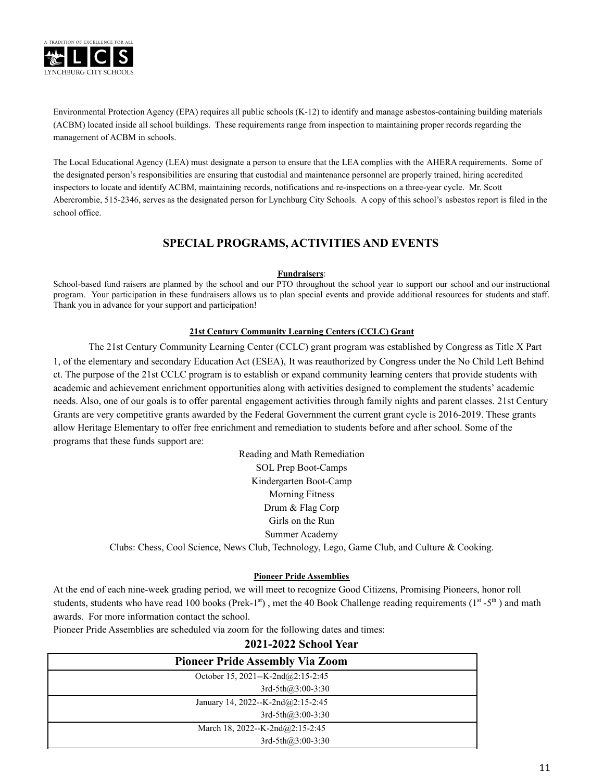

Environmental Protection Agency (EPA) requires all public schools (K-12) to identify and manage asbestos-containing building materials (ACBM) located inside all school buildings. These requirements range from inspection to maintaining proper records regarding the management of ACBM in schools.

The Local Educational Agency (LEA) must designate a person to ensure that the LEA complies with the AHERA requirements. Some of the designated person's responsibilities are ensuring that custodial and maintenance personnel are properly trained, hiring accredited inspectors to locate and identify ACBM, maintaining records, notifications and re-inspections on a three-year cycle. Mr. Scott Abercrombie, 515-2346, serves as the designated person for Lynchburg City Schools. A copy of this school's asbestos report is filed in the school office.

## **SPECIAL PROGRAMS, ACTIVITIES AND EVENTS**

#### **Fundraisers**:

School-based fund raisers are planned by the school and our PTO throughout the school year to support our school and our instructional program. Your participation in these fundraisers allows us to plan special events and provide additional resources for students and staff. Thank you in advance for your support and participation!

## **21st Century Community Learning Centers (CCLC) Grant**

The 21st Century Community Learning Center (CCLC) grant program was established by Congress as Title X Part 1, of the elementary and secondary Education Act (ESEA), It was reauthorized by Congress under the No Child Left Behind ct. The purpose of the 21st CCLC program is to establish or expand community learning centers that provide students with academic and achievement enrichment opportunities along with activities designed to complement the students' academic needs. Also, one of our goals is to offer parental engagement activities through family nights and parent classes. 21st Century Grants are very competitive grants awarded by the Federal Government the current grant cycle is 2016-2019. These grants allow Heritage Elementary to offer free enrichment and remediation to students before and after school. Some of the programs that these funds support are:

> Reading and Math Remediation SOL Prep Boot-Camps Kindergarten Boot-Camp Morning Fitness Drum & Flag Corp Girls on the Run Summer Academy Clubs: Chess, Cool Science, News Club, Technology, Lego, Game Club, and Culture & Cooking.

## **Pioneer Pride Assemblies**

At the end of each nine-week grading period, we will meet to recognize Good Citizens, Promising Pioneers, honor roll students, students who have read 100 books (Prek-1<sup>st</sup>), met the 40 Book Challenge reading requirements (1<sup>st</sup> -5<sup>th</sup>) and math awards. For more information contact the school.

Pioneer Pride Assemblies are scheduled via zoom for the following dates and times:

| 2021-2022 School Year                  |
|----------------------------------------|
| <b>Pioneer Pride Assembly Via Zoom</b> |
| October 15, 2021--K-2nd@2:15-2:45      |
| $3rd-5th(a)3:00-3:30$                  |
| January 14, 2022--K-2nd@2:15-2:45      |
| $3rd-5th(a)3:00-3:30$                  |
| March 18, 2022--K-2nd@2:15-2:45        |
| $3rd-5th(a)3:00-3:30$                  |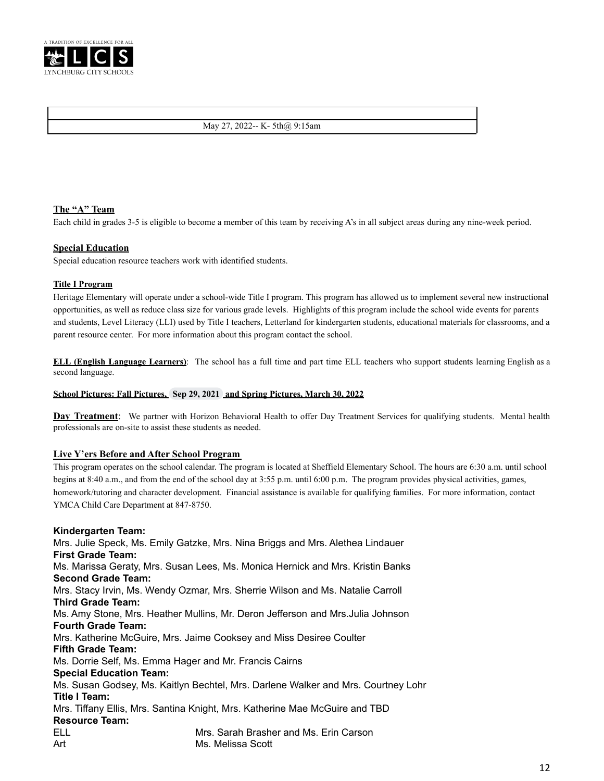

#### May 27, 2022-- K- 5th@ 9:15am

## **The "A" Team**

Each child in grades 3-5 is eligible to become a member of this team by receiving A's in all subject areas during any nine-week period.

#### **Special Education**

Special education resource teachers work with identified students.

#### **Title I Program**

Heritage Elementary will operate under a school-wide Title I program. This program has allowed us to implement several new instructional opportunities, as well as reduce class size for various grade levels. Highlights of this program include the school wide events for parents and students, Level Literacy (LLI) used by Title I teachers, Letterland for kindergarten students, educational materials for classrooms, and a parent resource center. For more information about this program contact the school.

**ELL (English Language Learners)**: The school has a full time and part time ELL teachers who support students learning English as a second language.

#### **School Pictures: Fall Pictures, Sep 29, 2021 and Spring Pictures, March 30, 2022**

**Day Treatment**: We partner with Horizon Behavioral Health to offer Day Treatment Services for qualifying students. Mental health professionals are on-site to assist these students as needed.

#### **Live Y'ers Before and After School Program**

This program operates on the school calendar. The program is located at Sheffield Elementary School. The hours are 6:30 a.m. until school begins at 8:40 a.m., and from the end of the school day at 3:55 p.m. until 6:00 p.m. The program provides physical activities, games, homework/tutoring and character development. Financial assistance is available for qualifying families. For more information, contact YMCA Child Care Department at 847-8750.

#### **Kindergarten Team:**

Mrs. Julie Speck, Ms. Emily Gatzke, Mrs. Nina Briggs and Mrs. Alethea Lindauer **First Grade Team:** Ms. Marissa Geraty, Mrs. Susan Lees, Ms. Monica Hernick and Mrs. Kristin Banks **Second Grade Team:** Mrs. Stacy Irvin, Ms. Wendy Ozmar, Mrs. Sherrie Wilson and Ms. Natalie Carroll **Third Grade Team:** Ms. Amy Stone, Mrs. Heather Mullins, Mr. Deron Jefferson and Mrs.Julia Johnson **Fourth Grade Team:** Mrs. Katherine McGuire, Mrs. Jaime Cooksey and Miss Desiree Coulter **Fifth Grade Team:** Ms. Dorrie Self, Ms. Emma Hager and Mr. Francis Cairns **Special Education Team:** Ms. Susan Godsey, Ms. Kaitlyn Bechtel, Mrs. Darlene Walker and Mrs. Courtney Lohr **Title I Team:** Mrs. Tiffany Ellis, Mrs. Santina Knight, Mrs. Katherine Mae McGuire and TBD **Resource Team:** ELL Mrs. Sarah Brasher and Ms. Erin Carson Art Ms. Melissa Scott